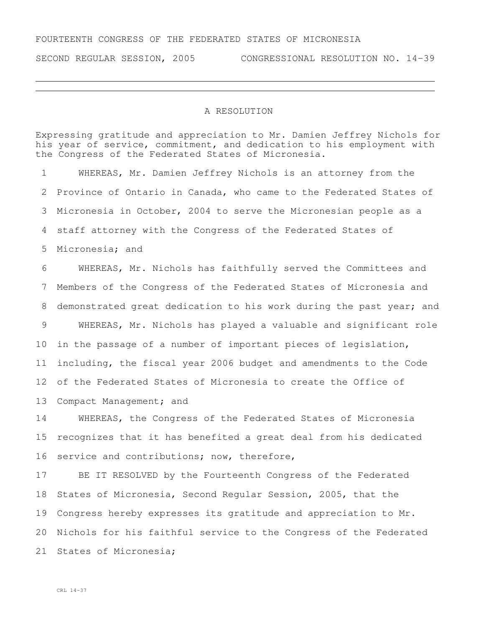SECOND REGULAR SESSION, 2005 CONGRESSIONAL RESOLUTION NO. 14-39

## A RESOLUTION

Expressing gratitude and appreciation to Mr. Damien Jeffrey Nichols for his year of service, commitment, and dedication to his employment with the Congress of the Federated States of Micronesia.

 WHEREAS, Mr. Damien Jeffrey Nichols is an attorney from the Province of Ontario in Canada, who came to the Federated States of Micronesia in October, 2004 to serve the Micronesian people as a staff attorney with the Congress of the Federated States of Micronesia; and WHEREAS, Mr. Nichols has faithfully served the Committees and Members of the Congress of the Federated States of Micronesia and demonstrated great dedication to his work during the past year; and WHEREAS, Mr. Nichols has played a valuable and significant role in the passage of a number of important pieces of legislation,

 including, the fiscal year 2006 budget and amendments to the Code of the Federated States of Micronesia to create the Office of

13 Compact Management; and

 WHEREAS, the Congress of the Federated States of Micronesia recognizes that it has benefited a great deal from his dedicated service and contributions; now, therefore,

 BE IT RESOLVED by the Fourteenth Congress of the Federated States of Micronesia, Second Regular Session, 2005, that the Congress hereby expresses its gratitude and appreciation to Mr. Nichols for his faithful service to the Congress of the Federated States of Micronesia;